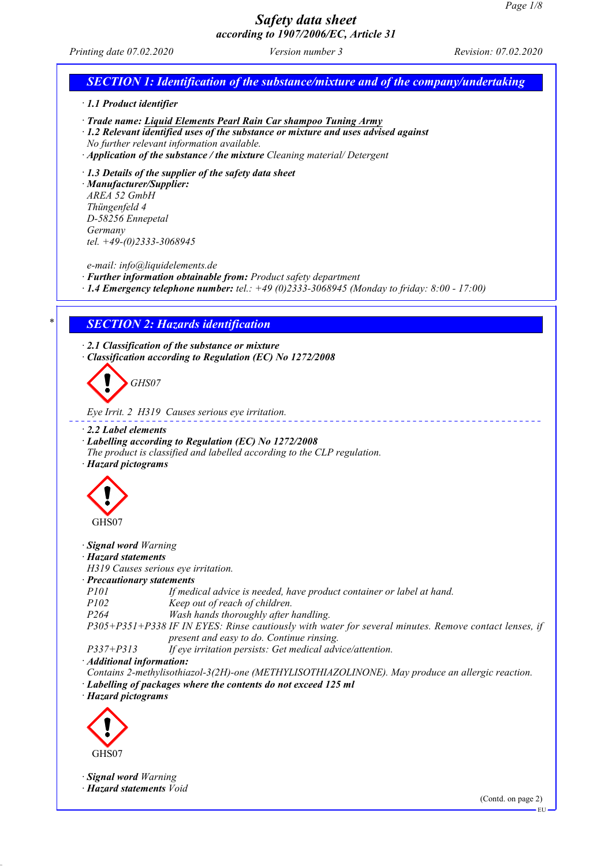*Printing date 07.02.2020 Version number 3 Revision: 07.02.2020*

# *SECTION 1: Identification of the substance/mixture and of the company/undertaking · 1.1 Product identifier · Trade name: Liquid Elements Pearl Rain Car shampoo Tuning Army · 1.2 Relevant identified uses of the substance or mixture and uses advised against No further relevant information available. · Application of the substance / the mixture Cleaning material/ Detergent · 1.3 Details of the supplier of the safety data sheet · Manufacturer/Supplier: AREA 52 GmbH Thüngenfeld 4 D-58256 Ennepetal Germany tel. +49-(0)2333-3068945 e-mail: info@liquidelements.de · Further information obtainable from: Product safety department · 1.4 Emergency telephone number: tel.: +49 (0)2333-3068945 (Monday to friday: 8:00 - 17:00) \* SECTION 2: Hazards identification · 2.1 Classification of the substance or mixture · Classification according to Regulation (EC) No 1272/2008 GHS07 Eye Irrit. 2 H319 Causes serious eye irritation. · 2.2 Label elements · Labelling according to Regulation (EC) No 1272/2008 The product is classified and labelled according to the CLP regulation. · Hazard pictograms* GHS07 *· Signal word Warning · Hazard statements H319 Causes serious eye irritation. · Precautionary statements P101 If medical advice is needed, have product container or label at hand. P102 Keep out of reach of children. P264 Wash hands thoroughly after handling. P305+P351+P338 IF IN EYES: Rinse cautiously with water for several minutes. Remove contact lenses, if present and easy to do. Continue rinsing. P337+P313 If eye irritation persists: Get medical advice/attention. · Additional information: Contains 2-methylisothiazol-3(2H)-one (METHYLISOTHIAZOLINONE). May produce an allergic reaction. · Labelling of packages where the contents do not exceed 125 ml · Hazard pictograms* GHS07 *· Signal word Warning · Hazard statements Void* (Contd. on page 2) EU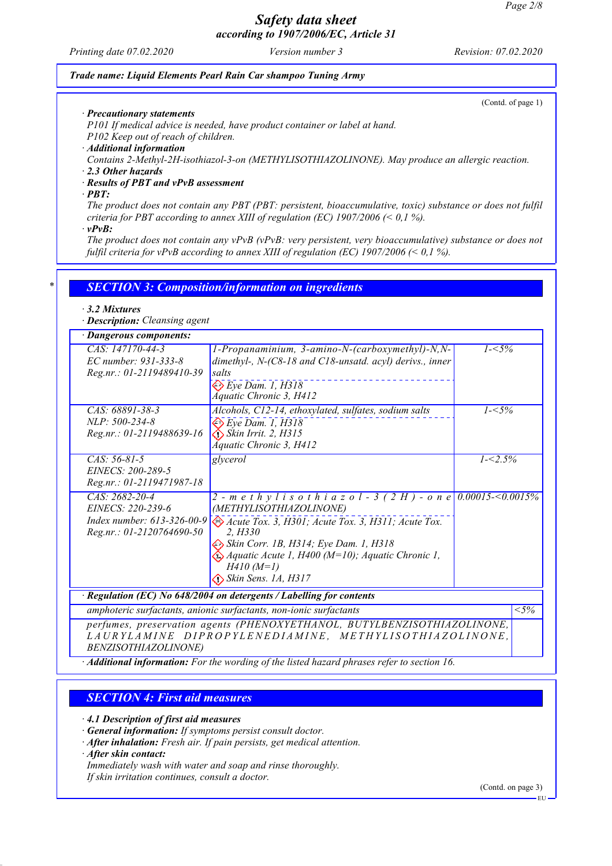*Printing date 07.02.2020 Version number 3 Revision: 07.02.2020*

#### *Trade name: Liquid Elements Pearl Rain Car shampoo Tuning Army*

(Contd. of page 1)

*· Precautionary statements*

*P101 If medical advice is needed, have product container or label at hand.*

*P102 Keep out of reach of children.*

*· Additional information*

*Contains 2-Methyl-2H-isothiazol-3-on (METHYLISOTHIAZOLINONE). May produce an allergic reaction.*

*· 2.3 Other hazards*

*· Results of PBT and vPvB assessment*

*· PBT:*

*The product does not contain any PBT (PBT: persistent, bioaccumulative, toxic) substance or does not fulfil criteria for PBT according to annex XIII of regulation (EC) 1907/2006 (< 0,1 %).*

*· vPvB:*

*The product does not contain any vPvB (vPvB: very persistent, very bioaccumulative) substance or does not fulfil criteria for vPvB according to annex XIII of regulation (EC) 1907/2006 (< 0,1 %).*

### *\* SECTION 3: Composition/information on ingredients*

#### *· 3.2 Mixtures*

*· Description: Cleansing agent*

| · Dangerous components:                                                                            |                                                                                                                                                                                                                                                                                                                                  |             |         |
|----------------------------------------------------------------------------------------------------|----------------------------------------------------------------------------------------------------------------------------------------------------------------------------------------------------------------------------------------------------------------------------------------------------------------------------------|-------------|---------|
| CAS: 147170-44-3<br>EC number: 931-333-8<br>Reg.nr.: 01-2119489410-39                              | 1-Propanaminium, 3-amino-N-(carboxymethyl)-N,N-<br>dimethyl-, N-(C8-18 and C18-unsatd. acyl) derivs., inner<br>salts<br>$\otimes$ Eye Dam. 1, H318<br><b>Áquatic Chronic 3, H412</b>                                                                                                                                             | $1 - 5\%$   |         |
| CAS: 68891-38-3<br>$NLP: 500-234-8$<br>Reg.nr.: 01-2119488639-16                                   | Alcohols, C12-14, ethoxylated, sulfates, sodium salts<br>$\Leftrightarrow$ Eye Dam. 1, H318<br>$\diamond$ Skin Irrit. 2, H315<br>Áquatic Chronic 3, H412                                                                                                                                                                         | $1 - 5\%$   |         |
| $CAS: 56-81-5$<br>EINECS: 200-289-5<br>Reg.nr.: 01-2119471987-18                                   | glycerol                                                                                                                                                                                                                                                                                                                         | $1 - 2.5\%$ |         |
| $CAS: 2682-20-4$<br>EINECS: 220-239-6<br>Index number: $613-326-00-9$<br>Reg.nr.: 01-2120764690-50 | 2 - m e t h y l i s o t h i a z o l - 3 (2 H) - o n e 0.00015-<0.0015%<br>(METHYLISOTHIAZOLINONE)<br>Acute Tox. 3, H301; Acute Tox. 3, H311; Acute Tox.<br>2. H330<br>Skin Corr. 1B, H314; Eye Dam. 1, H318<br>$\bigotimes$ Aquatic Acute 1, H400 (M=10); Aquatic Chronic 1,<br>$H410 (M=1)$<br>$\bigotimes$ Skin Sens. 1A, H317 |             |         |
|                                                                                                    | $\cdot$ Regulation (EC) No 648/2004 on detergents / Labelling for contents                                                                                                                                                                                                                                                       |             |         |
| amphoteric surfactants, anionic surfactants, non-ionic surfactants                                 |                                                                                                                                                                                                                                                                                                                                  |             | $< 5\%$ |
| <i>BENZISOTHIAZOLINONE</i> )                                                                       | perfumes, preservation agents (PHENOXYETHANOL, BUTYLBENZISOTHIAZOLINONE,<br>LAURYLAMINE DIPROPYLENEDIAMINE, METHYLISOTHIAZOLINONE,                                                                                                                                                                                               |             |         |

*· Additional information: For the wording of the listed hazard phrases refer to section 16.*

### *SECTION 4: First aid measures*

*· 4.1 Description of first aid measures*

*· General information: If symptoms persist consult doctor.*

*· After inhalation: Fresh air. If pain persists, get medical attention.*

*· After skin contact:*

*Immediately wash with water and soap and rinse thoroughly.*

*If skin irritation continues, consult a doctor.*

(Contd. on page 3)

EU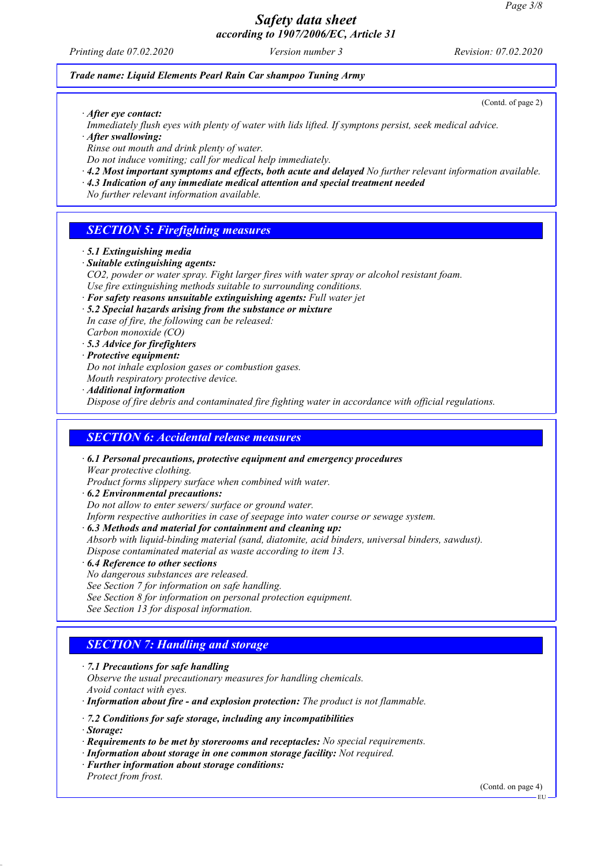*Printing date 07.02.2020 Version number 3 Revision: 07.02.2020*

#### *Trade name: Liquid Elements Pearl Rain Car shampoo Tuning Army*

(Contd. of page 2)

- *· After eye contact:*
- *Immediately flush eyes with plenty of water with lids lifted. If symptons persist, seek medical advice.*
- *· After swallowing:*
- *Rinse out mouth and drink plenty of water.*
- *Do not induce vomiting; call for medical help immediately.*
- *· 4.2 Most important symptoms and effects, both acute and delayed No further relevant information available.*
- *· 4.3 Indication of any immediate medical attention and special treatment needed*

*No further relevant information available.*

## *SECTION 5: Firefighting measures*

- *· 5.1 Extinguishing media*
- *· Suitable extinguishing agents:*
- *CO2, powder or water spray. Fight larger fires with water spray or alcohol resistant foam. Use fire extinguishing methods suitable to surrounding conditions.*
- *· For safety reasons unsuitable extinguishing agents: Full water jet*
- *· 5.2 Special hazards arising from the substance or mixture In case of fire, the following can be released: Carbon monoxide (CO)*
- *· 5.3 Advice for firefighters*
- *· Protective equipment:*
- *Do not inhale explosion gases or combustion gases.*
- *Mouth respiratory protective device.*
- *· Additional information*

*Dispose of fire debris and contaminated fire fighting water in accordance with official regulations.*

### *SECTION 6: Accidental release measures*

*· 6.1 Personal precautions, protective equipment and emergency procedures Wear protective clothing.*

*Product forms slippery surface when combined with water.*

- *· 6.2 Environmental precautions:*
- *Do not allow to enter sewers/ surface or ground water.*

*Inform respective authorities in case of seepage into water course or sewage system.*

- *· 6.3 Methods and material for containment and cleaning up:*
- *Absorb with liquid-binding material (sand, diatomite, acid binders, universal binders, sawdust). Dispose contaminated material as waste according to item 13.*
- *· 6.4 Reference to other sections*
- *No dangerous substances are released.*
- *See Section 7 for information on safe handling.*
- *See Section 8 for information on personal protection equipment.*
- *See Section 13 for disposal information.*

## *SECTION 7: Handling and storage*

- *· 7.1 Precautions for safe handling*
- *Observe the usual precautionary measures for handling chemicals. Avoid contact with eyes.*

*· Information about fire - and explosion protection: The product is not flammable.*

- *· 7.2 Conditions for safe storage, including any incompatibilities*
- *· Storage:*
- *· Requirements to be met by storerooms and receptacles: No special requirements.*
- *· Information about storage in one common storage facility: Not required.*
- *· Further information about storage conditions: Protect from frost.*

(Contd. on page 4)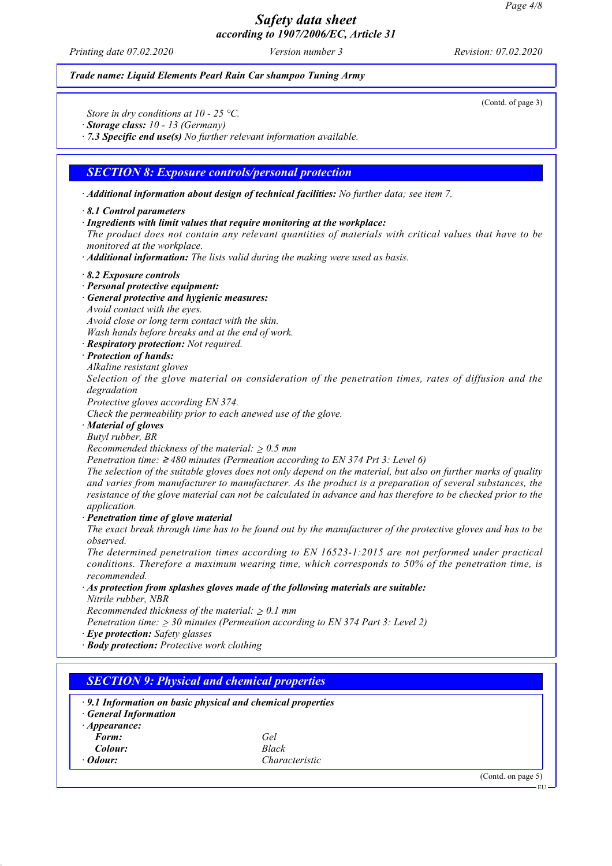*Printing date 07.02.2020 Version number 3 Revision: 07.02.2020*

#### *Trade name: Liquid Elements Pearl Rain Car shampoo Tuning Army*

(Contd. of page 3)

*Store in dry conditions at 10 - 25 °C.*

*· Storage class: 10 - 13 (Germany)*

*· 7.3 Specific end use(s) No further relevant information available.*

#### *SECTION 8: Exposure controls/personal protection*

*· Additional information about design of technical facilities: No further data; see item 7.*

#### *· 8.1 Control parameters*

*· Ingredients with limit values that require monitoring at the workplace:*

*The product does not contain any relevant quantities of materials with critical values that have to be monitored at the workplace.*

*· Additional information: The lists valid during the making were used as basis.*

#### *· 8.2 Exposure controls*

- *· Personal protective equipment:*
- *· General protective and hygienic measures:*
- *Avoid contact with the eyes.*

*Avoid close or long term contact with the skin.*

*Wash hands before breaks and at the end of work.*

- *· Respiratory protection: Not required.*
- *· Protection of hands:*
- *Alkaline resistant gloves*

*Selection of the glove material on consideration of the penetration times, rates of diffusion and the degradation*

*Protective gloves according EN 374.*

*Check the permeability prior to each anewed use of the glove.*

*· Material of gloves*

*Butyl rubber, BR*

*Recommended thickness of the material:* ≥ *0.5 mm*

*Penetration time:* ≥ *480 minutes (Permeation according to EN 374 Prt 3: Level 6)*

*The selection of the suitable gloves does not only depend on the material, but also on further marks of quality and varies from manufacturer to manufacturer. As the product is a preparation of several substances, the resistance of the glove material can not be calculated in advance and has therefore to be checked prior to the application.*

*· Penetration time of glove material*

*The exact break through time has to be found out by the manufacturer of the protective gloves and has to be observed.*

*The determined penetration times according to EN 16523-1:2015 are not performed under practical conditions. Therefore a maximum wearing time, which corresponds to 50% of the penetration time, is recommended.*

*· As protection from splashes gloves made of the following materials are suitable:*

*Nitrile rubber, NBR*

*Recommended thickness of the material:* ≥ *0.1 mm*

*Penetration time:* ≥ *30 minutes (Permeation according to EN 374 Part 3: Level 2)*

- *· Eye protection: Safety glasses*
- *· Body protection: Protective work clothing*

| <b>General Information</b> | $\cdot$ 9.1 Information on basic physical and chemical properties |  |
|----------------------------|-------------------------------------------------------------------|--|
| $\cdot$ Appearance:        |                                                                   |  |
| Form:                      | Gel                                                               |  |
| Colour:                    | Black                                                             |  |
| $\cdot$ Odour:             | Characteristic                                                    |  |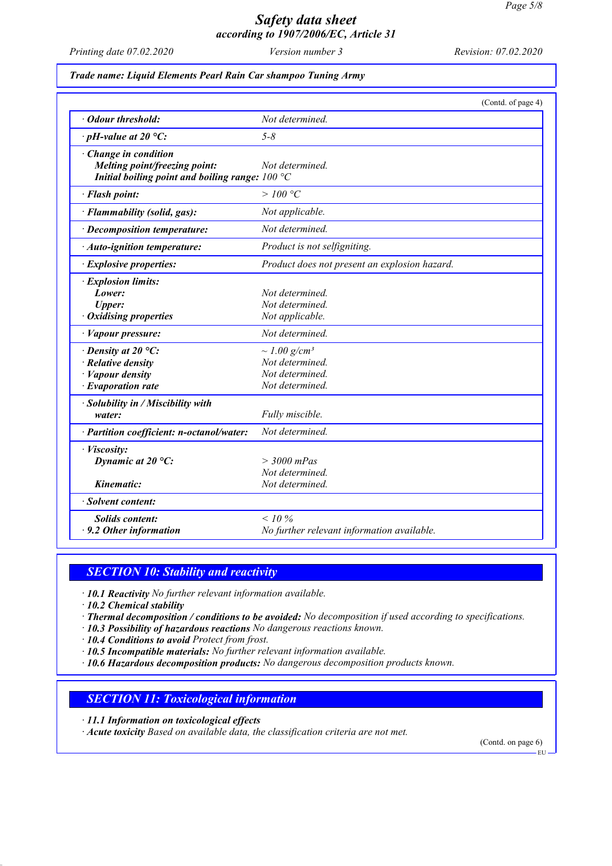*Printing date 07.02.2020 Version number 3 Revision: 07.02.2020*

#### *Trade name: Liquid Elements Pearl Rain Car shampoo Tuning Army*

|                                                                                                           | (Contd. of page 4)                                                                     |
|-----------------------------------------------------------------------------------------------------------|----------------------------------------------------------------------------------------|
| Odour threshold:                                                                                          | Not determined.                                                                        |
| $\cdot$ pH-value at 20 °C:                                                                                | $5 - 8$                                                                                |
| Change in condition<br>Melting point/freezing point:<br>Initial boiling point and boiling range: $100 °C$ | Not determined.                                                                        |
| · Flash point:                                                                                            | >100 °C                                                                                |
| · Flammability (solid, gas):                                                                              | Not applicable.                                                                        |
| · Decomposition temperature:                                                                              | Not determined.                                                                        |
| · Auto-ignition temperature:                                                                              | Product is not selfigniting.                                                           |
| · Explosive properties:                                                                                   | Product does not present an explosion hazard.                                          |
| · Explosion limits:<br>Lower:<br><b>Upper:</b><br><b>Oxidising properties</b>                             | Not determined.<br>Not determined.<br>Not applicable.                                  |
| · Vapour pressure:                                                                                        | Not determined.                                                                        |
| $\cdot$ Density at 20 °C:<br>$\cdot$ Relative density<br>· Vapour density<br>$\cdot$ Evaporation rate     | $\sim$ 1.00 g/cm <sup>3</sup><br>Not determined.<br>Not determined.<br>Not determined. |
| · Solubility in / Miscibility with<br>water:                                                              | Fully miscible.                                                                        |
| · Partition coefficient: n-octanol/water:                                                                 | Not determined.                                                                        |
| · Viscosity:<br>Dynamic at $20^{\circ}$ C:                                                                | $>$ 3000 mPas<br>Not determined.                                                       |
| Kinematic:                                                                                                | Not determined.                                                                        |
| · Solvent content:                                                                                        |                                                                                        |
| <b>Solids content:</b><br>$\cdot$ 9.2 Other information                                                   | $< 10\%$<br>No further relevant information available.                                 |

### *SECTION 10: Stability and reactivity*

- *· 10.1 Reactivity No further relevant information available.*
- *· 10.2 Chemical stability*
- *· Thermal decomposition / conditions to be avoided: No decomposition if used according to specifications.*
- *· 10.3 Possibility of hazardous reactions No dangerous reactions known.*
- *· 10.4 Conditions to avoid Protect from frost.*
- *· 10.5 Incompatible materials: No further relevant information available.*
- *· 10.6 Hazardous decomposition products: No dangerous decomposition products known.*

### *SECTION 11: Toxicological information*

- *· 11.1 Information on toxicological effects*
- *· Acute toxicity Based on available data, the classification criteria are not met.*

(Contd. on page 6)

EU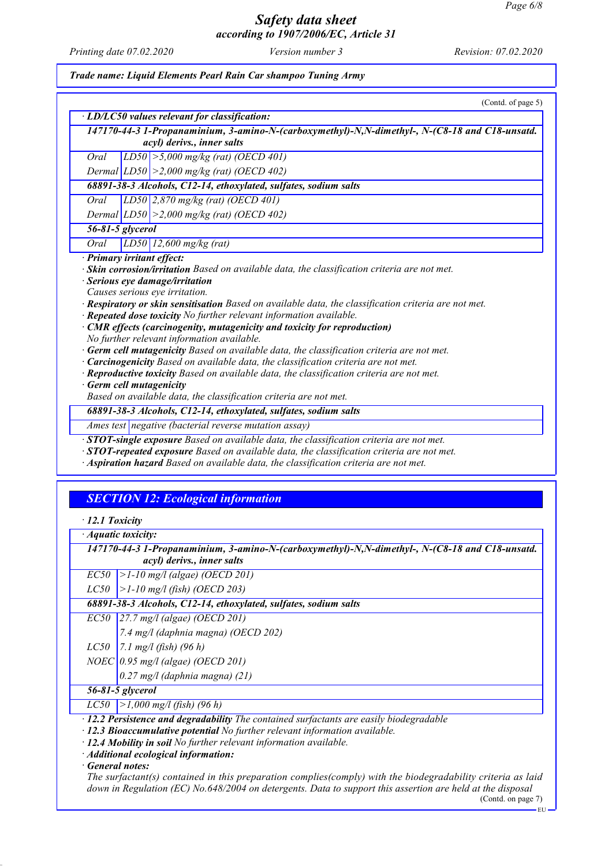*Printing date 07.02.2020 Version number 3 Revision: 07.02.2020*

*Trade name: Liquid Elements Pearl Rain Car shampoo Tuning Army*

|                       | (Contd. of page 5)                                                                                                                                                                                                                                                                                                                                                                                                                                                                                                                                                                                                                                                                                                                                                                               |
|-----------------------|--------------------------------------------------------------------------------------------------------------------------------------------------------------------------------------------------------------------------------------------------------------------------------------------------------------------------------------------------------------------------------------------------------------------------------------------------------------------------------------------------------------------------------------------------------------------------------------------------------------------------------------------------------------------------------------------------------------------------------------------------------------------------------------------------|
|                       | · LD/LC50 values relevant for classification:                                                                                                                                                                                                                                                                                                                                                                                                                                                                                                                                                                                                                                                                                                                                                    |
|                       | 147170-44-3 1-Propanaminium, 3-amino-N-(carboxymethyl)-N,N-dimethyl-, N-(C8-18 and C18-unsatd.<br>acyl) derivs., inner salts                                                                                                                                                                                                                                                                                                                                                                                                                                                                                                                                                                                                                                                                     |
| Oral                  | LD50 $\ge$ 5,000 mg/kg (rat) (OECD 401)                                                                                                                                                                                                                                                                                                                                                                                                                                                                                                                                                                                                                                                                                                                                                          |
|                       | Dermal $ LDS0  > 2,000$ mg/kg (rat) (OECD 402)                                                                                                                                                                                                                                                                                                                                                                                                                                                                                                                                                                                                                                                                                                                                                   |
|                       | 68891-38-3 Alcohols, C12-14, ethoxylated, sulfates, sodium salts                                                                                                                                                                                                                                                                                                                                                                                                                                                                                                                                                                                                                                                                                                                                 |
| Oral                  | $LD50$ 2,870 mg/kg (rat) (OECD 401)                                                                                                                                                                                                                                                                                                                                                                                                                                                                                                                                                                                                                                                                                                                                                              |
|                       | Dermal $ LD50  > 2,000$ mg/kg (rat) (OECD 402)                                                                                                                                                                                                                                                                                                                                                                                                                                                                                                                                                                                                                                                                                                                                                   |
|                       | 56-81-5 glycerol                                                                                                                                                                                                                                                                                                                                                                                                                                                                                                                                                                                                                                                                                                                                                                                 |
| Oral                  | $LD50$ 12,600 mg/kg (rat)                                                                                                                                                                                                                                                                                                                                                                                                                                                                                                                                                                                                                                                                                                                                                                        |
|                       | Causes serious eye irritation.<br>· Respiratory or skin sensitisation Based on available data, the classification criteria are not met.<br>· Repeated dose toxicity No further relevant information available.<br>· CMR effects (carcinogenity, mutagenicity and toxicity for reproduction)<br>No further relevant information available.<br>· Germ cell mutagenicity Based on available data, the classification criteria are not met.<br>· Carcinogenicity Based on available data, the classification criteria are not met.<br>· Reproductive toxicity Based on available data, the classification criteria are not met.<br>· Germ cell mutagenicity<br>Based on available data, the classification criteria are not met.<br>68891-38-3 Alcohols, C12-14, ethoxylated, sulfates, sodium salts |
|                       | Ames test negative (bacterial reverse mutation assay)                                                                                                                                                                                                                                                                                                                                                                                                                                                                                                                                                                                                                                                                                                                                            |
|                       | · STOT-single exposure Based on available data, the classification criteria are not met.<br>$\cdot$ STOT-repeated exposure Based on available data, the classification criteria are not met.<br>· Aspiration hazard Based on available data, the classification criteria are not met.                                                                                                                                                                                                                                                                                                                                                                                                                                                                                                            |
|                       | <b>SECTION 12: Ecological information</b>                                                                                                                                                                                                                                                                                                                                                                                                                                                                                                                                                                                                                                                                                                                                                        |
| $\cdot$ 12.1 Toxicity |                                                                                                                                                                                                                                                                                                                                                                                                                                                                                                                                                                                                                                                                                                                                                                                                  |
| · Aquatic toxicity:   |                                                                                                                                                                                                                                                                                                                                                                                                                                                                                                                                                                                                                                                                                                                                                                                                  |
|                       | 147170-44-3 1-Propanaminium, 3-amino-N-(carboxymethyl)-N,N-dimethyl-, N-(C8-18 and C18-unsatd.<br>acyl) derivs., inner salts                                                                                                                                                                                                                                                                                                                                                                                                                                                                                                                                                                                                                                                                     |
|                       | $ ECS0 $ >1-10 mg/l (algae) (OECD 201)                                                                                                                                                                                                                                                                                                                                                                                                                                                                                                                                                                                                                                                                                                                                                           |
| L C50                 | $>1-10$ mg/l (fish) (OECD 203)                                                                                                                                                                                                                                                                                                                                                                                                                                                                                                                                                                                                                                                                                                                                                                   |
|                       | 68891-38-3 Alcohols, C12-14, ethoxylated, sulfates, sodium salts                                                                                                                                                                                                                                                                                                                                                                                                                                                                                                                                                                                                                                                                                                                                 |
|                       |                                                                                                                                                                                                                                                                                                                                                                                                                                                                                                                                                                                                                                                                                                                                                                                                  |

*7.4 mg/l (daphnia magna) (OECD 202)*

*LC50 7.1 mg/l (fish) (96 h)*

*NOEC 0.95 mg/l (algae) (OECD 201)*

*0.27 mg/l (daphnia magna) (21)*

### *56-81-5 glycerol*

*LC50 >1,000 mg/l (fish) (96 h)*

*· 12.2 Persistence and degradability The contained surfactants are easily biodegradable*

*· 12.3 Bioaccumulative potential No further relevant information available.*

*· 12.4 Mobility in soil No further relevant information available.*

*· Additional ecological information:*

*· General notes:*

*The surfactant(s) contained in this preparation complies(comply) with the biodegradability criteria as laid down in Regulation (EC) No.648/2004 on detergents. Data to support this assertion are held at the disposal*

(Contd. on page 7) EU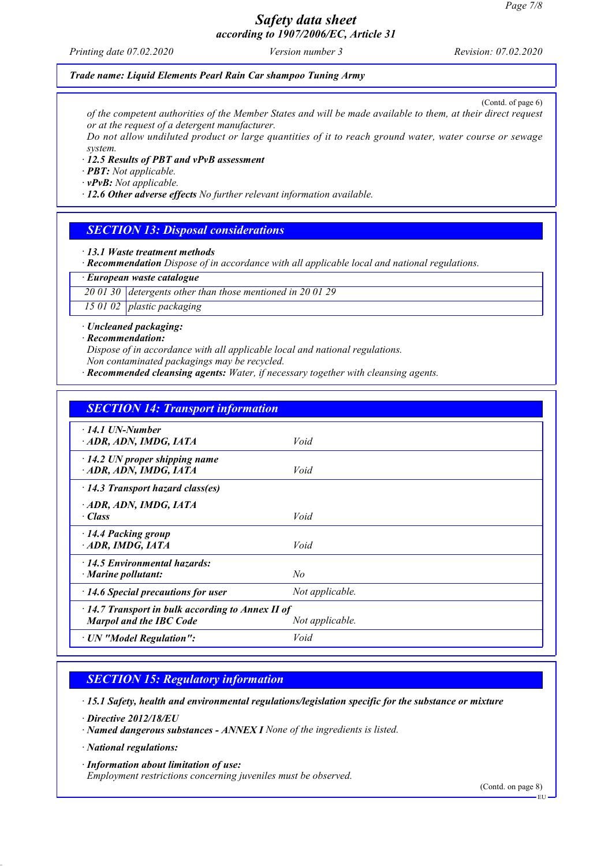*Printing date 07.02.2020 Version number 3 Revision: 07.02.2020*

#### *Trade name: Liquid Elements Pearl Rain Car shampoo Tuning Army*

(Contd. of page 6) *of the competent authorities of the Member States and will be made available to them, at their direct request or at the request of a detergent manufacturer.*

*Do not allow undiluted product or large quantities of it to reach ground water, water course or sewage system.*

#### *· 12.5 Results of PBT and vPvB assessment*

*· PBT: Not applicable.*

*· vPvB: Not applicable.*

*· 12.6 Other adverse effects No further relevant information available.*

### *SECTION 13: Disposal considerations*

*· 13.1 Waste treatment methods*

*· Recommendation Dispose of in accordance with all applicable local and national regulations.*

*· European waste catalogue*

*20 01 30 detergents other than those mentioned in 20 01 29*

*15 01 02 plastic packaging*

*· Uncleaned packaging:*

*· Recommendation:*

*Dispose of in accordance with all applicable local and national regulations.*

*Non contaminated packagings may be recycled.*

*· Recommended cleansing agents: Water, if necessary together with cleansing agents.*

| <b>SECTION 14: Transport information</b>                                                                     |                 |  |
|--------------------------------------------------------------------------------------------------------------|-----------------|--|
| $\cdot$ 14.1 UN-Number<br>ADR, ADN, IMDG, IATA                                                               | Void            |  |
| $\cdot$ 14.2 UN proper shipping name<br>ADR, ADN, IMDG, IATA                                                 | Void            |  |
| $\cdot$ 14.3 Transport hazard class(es)                                                                      |                 |  |
| ADR, ADN, IMDG, IATA<br>$\cdot$ Class                                                                        | Void            |  |
| $\cdot$ 14.4 Packing group<br>ADR, IMDG, IATA                                                                | Void            |  |
| $\cdot$ 14.5 Environmental hazards:<br>$\cdot$ Marine pollutant:                                             | No              |  |
| $\cdot$ 14.6 Special precautions for user                                                                    | Not applicable. |  |
| $\cdot$ 14.7 Transport in bulk according to Annex II of<br><b>Marpol and the IBC Code</b><br>Not applicable. |                 |  |
| · UN "Model Regulation":                                                                                     | Void            |  |

### *SECTION 15: Regulatory information*

*· 15.1 Safety, health and environmental regulations/legislation specific for the substance or mixture*

*· Directive 2012/18/EU*

*· Named dangerous substances - ANNEX I None of the ingredients is listed.*

*· National regulations:*

*· Information about limitation of use: Employment restrictions concerning juveniles must be observed.*

(Contd. on page 8)

EU